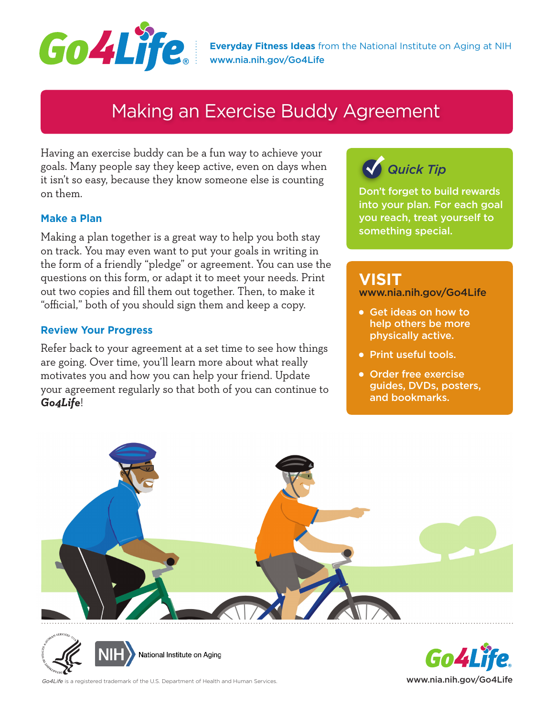

**Everyday Fitness Ideas** from the National Institute on Aging at NIH [www.nia.nih.gov/Go4Life](http://www.nia.nih.gov/Go4Life)

## Making an Exercise Buddy Agreement

Having an exercise buddy can be a fun way to achieve your goals. Many people say they keep active, even on days when it isn't so easy, because they know someone else is counting on them.

### **Make a Plan**

Making a plan together is a great way to help you both stay on track. You may even want to put your goals in writing in the form of a friendly "pledge" or agreement. You can use the questions on this form, or adapt it to meet your needs. Print out two copies and fill them out together. Then, to make it "official," both of you should sign them and keep a copy.

#### **Review Your Progress**

Refer back to your agreement at a set time to see how things are going. Over time, you'll learn more about what really motivates you and how you can help your friend. Update your agreement regularly so that both of you can continue to *Go4Life*!

## *Quick Tip*

Don't forget to build rewards into your plan. For each goal you reach, treat yourself to something special.

### **VISIT**

www.nia.nih.gov/Go4Life

- Get ideas on how to help others be more physically active.
- Print useful tools.
- Order free exercise guides, DVDs, posters, and bookmarks.







Go4Life is a registered trademark of the U.S. Department of Health and Human Services. **www.nice. [www.nia.nih.gov/Go4Life](http://www.nia.nih.gov/Go4Life)**